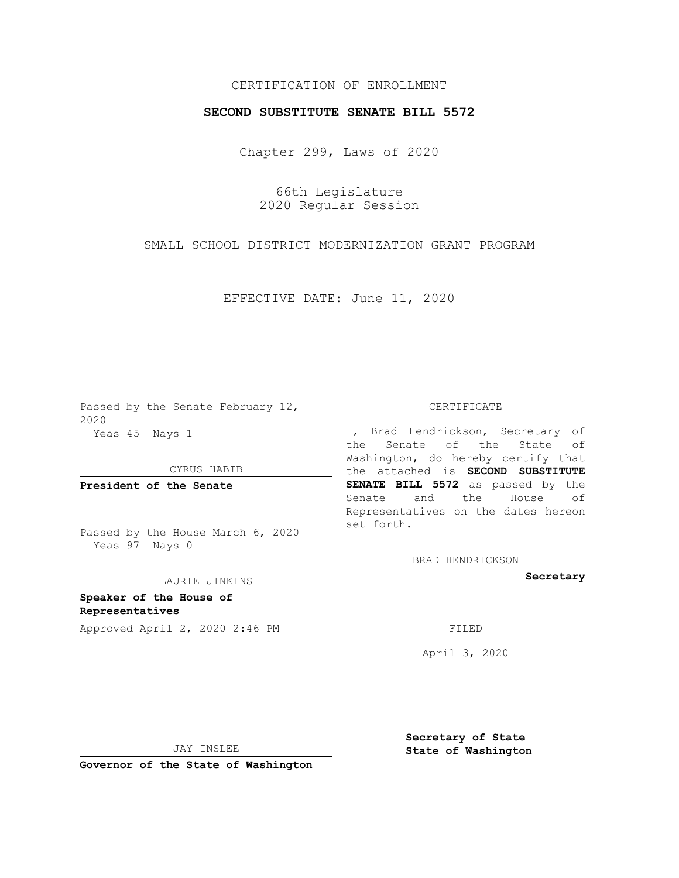## CERTIFICATION OF ENROLLMENT

## **SECOND SUBSTITUTE SENATE BILL 5572**

Chapter 299, Laws of 2020

66th Legislature 2020 Regular Session

SMALL SCHOOL DISTRICT MODERNIZATION GRANT PROGRAM

EFFECTIVE DATE: June 11, 2020

Passed by the Senate February 12, 2020 Yeas 45 Nays 1

CYRUS HABIB

**President of the Senate**

Passed by the House March 6, 2020 Yeas 97 Nays 0

## LAURIE JINKINS

**Speaker of the House of Representatives**

Approved April 2, 2020 2:46 PM

CERTIFICATE

I, Brad Hendrickson, Secretary of the Senate of the State of Washington, do hereby certify that the attached is **SECOND SUBSTITUTE SENATE BILL 5572** as passed by the Senate and the House of Representatives on the dates hereon set forth.

BRAD HENDRICKSON

**Secretary**

April 3, 2020

JAY INSLEE

**Governor of the State of Washington**

**Secretary of State State of Washington**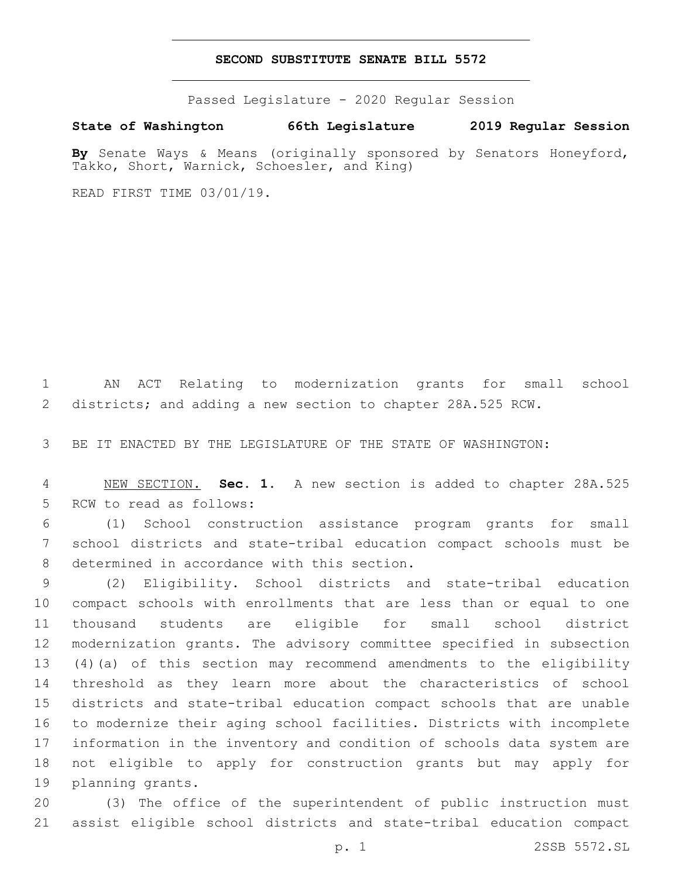## **SECOND SUBSTITUTE SENATE BILL 5572**

Passed Legislature - 2020 Regular Session

**State of Washington 66th Legislature 2019 Regular Session**

**By** Senate Ways & Means (originally sponsored by Senators Honeyford, Takko, Short, Warnick, Schoesler, and King)

READ FIRST TIME 03/01/19.

 AN ACT Relating to modernization grants for small school districts; and adding a new section to chapter 28A.525 RCW.

BE IT ENACTED BY THE LEGISLATURE OF THE STATE OF WASHINGTON:

 NEW SECTION. **Sec. 1.** A new section is added to chapter 28A.525 5 RCW to read as follows:

 (1) School construction assistance program grants for small school districts and state-tribal education compact schools must be 8 determined in accordance with this section.

 (2) Eligibility. School districts and state-tribal education compact schools with enrollments that are less than or equal to one thousand students are eligible for small school district modernization grants. The advisory committee specified in subsection (4)(a) of this section may recommend amendments to the eligibility threshold as they learn more about the characteristics of school districts and state-tribal education compact schools that are unable to modernize their aging school facilities. Districts with incomplete information in the inventory and condition of schools data system are not eligible to apply for construction grants but may apply for 19 planning grants.

 (3) The office of the superintendent of public instruction must assist eligible school districts and state-tribal education compact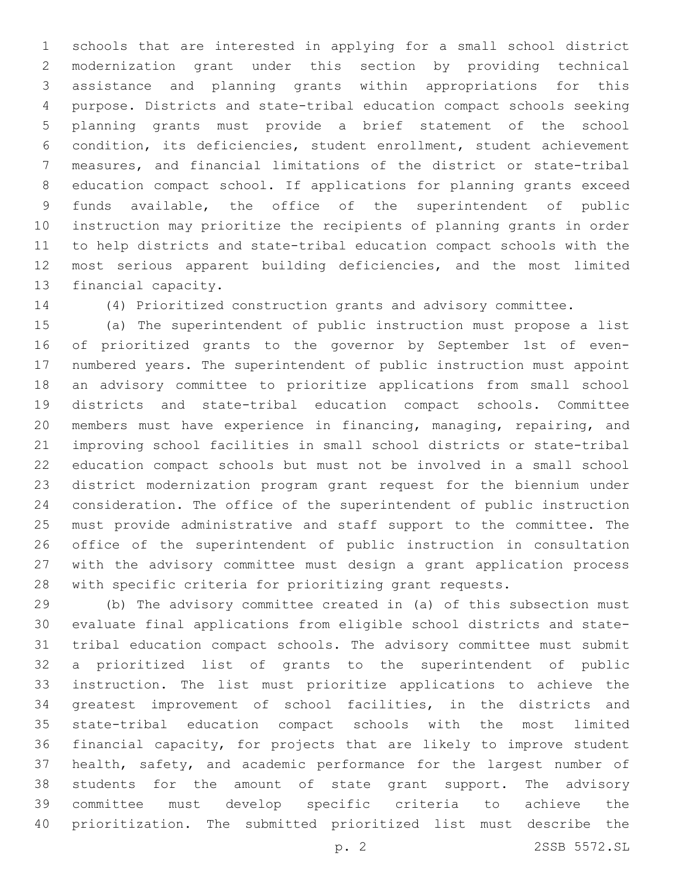schools that are interested in applying for a small school district modernization grant under this section by providing technical assistance and planning grants within appropriations for this purpose. Districts and state-tribal education compact schools seeking planning grants must provide a brief statement of the school condition, its deficiencies, student enrollment, student achievement measures, and financial limitations of the district or state-tribal education compact school. If applications for planning grants exceed funds available, the office of the superintendent of public instruction may prioritize the recipients of planning grants in order to help districts and state-tribal education compact schools with the most serious apparent building deficiencies, and the most limited 13 financial capacity.

(4) Prioritized construction grants and advisory committee.

 (a) The superintendent of public instruction must propose a list of prioritized grants to the governor by September 1st of even- numbered years. The superintendent of public instruction must appoint an advisory committee to prioritize applications from small school districts and state-tribal education compact schools. Committee members must have experience in financing, managing, repairing, and improving school facilities in small school districts or state-tribal education compact schools but must not be involved in a small school district modernization program grant request for the biennium under consideration. The office of the superintendent of public instruction must provide administrative and staff support to the committee. The office of the superintendent of public instruction in consultation with the advisory committee must design a grant application process with specific criteria for prioritizing grant requests.

 (b) The advisory committee created in (a) of this subsection must evaluate final applications from eligible school districts and state- tribal education compact schools. The advisory committee must submit a prioritized list of grants to the superintendent of public instruction. The list must prioritize applications to achieve the greatest improvement of school facilities, in the districts and state-tribal education compact schools with the most limited financial capacity, for projects that are likely to improve student health, safety, and academic performance for the largest number of students for the amount of state grant support. The advisory committee must develop specific criteria to achieve the prioritization. The submitted prioritized list must describe the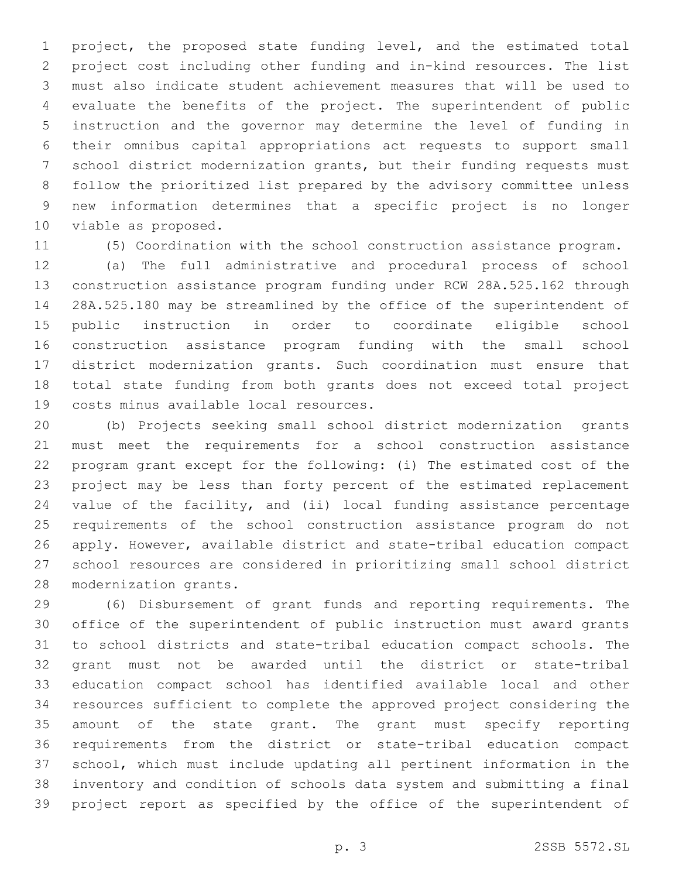project, the proposed state funding level, and the estimated total project cost including other funding and in-kind resources. The list must also indicate student achievement measures that will be used to evaluate the benefits of the project. The superintendent of public instruction and the governor may determine the level of funding in their omnibus capital appropriations act requests to support small school district modernization grants, but their funding requests must follow the prioritized list prepared by the advisory committee unless new information determines that a specific project is no longer 10 viable as proposed.

(5) Coordination with the school construction assistance program.

 (a) The full administrative and procedural process of school construction assistance program funding under RCW 28A.525.162 through 28A.525.180 may be streamlined by the office of the superintendent of public instruction in order to coordinate eligible school construction assistance program funding with the small school district modernization grants. Such coordination must ensure that total state funding from both grants does not exceed total project 19 costs minus available local resources.

 (b) Projects seeking small school district modernization grants must meet the requirements for a school construction assistance program grant except for the following: (i) The estimated cost of the project may be less than forty percent of the estimated replacement value of the facility, and (ii) local funding assistance percentage requirements of the school construction assistance program do not apply. However, available district and state-tribal education compact school resources are considered in prioritizing small school district 28 modernization grants.

 (6) Disbursement of grant funds and reporting requirements. The office of the superintendent of public instruction must award grants to school districts and state-tribal education compact schools. The grant must not be awarded until the district or state-tribal education compact school has identified available local and other resources sufficient to complete the approved project considering the amount of the state grant. The grant must specify reporting requirements from the district or state-tribal education compact school, which must include updating all pertinent information in the inventory and condition of schools data system and submitting a final project report as specified by the office of the superintendent of